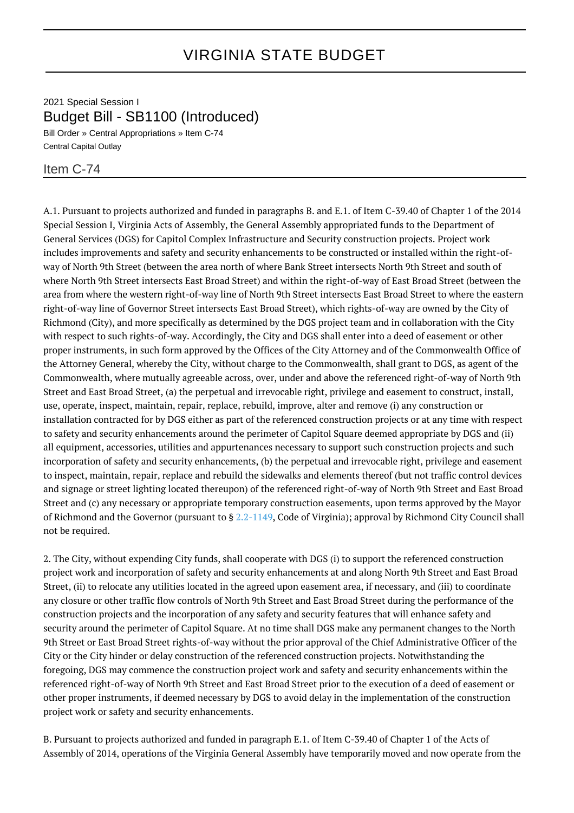2021 Special Session I Budget Bill - SB1100 (Introduced)

Bill Order » Central Appropriations » Item C-74 Central Capital Outlay

## Item C-74

A.1. Pursuant to projects authorized and funded in paragraphs B. and E.1. of Item C-39.40 of Chapter 1 of the 2014 Special Session I, Virginia Acts of Assembly, the General Assembly appropriated funds to the Department of General Services (DGS) for Capitol Complex Infrastructure and Security construction projects. Project work includes improvements and safety and security enhancements to be constructed or installed within the right-ofway of North 9th Street (between the area north of where Bank Street intersects North 9th Street and south of where North 9th Street intersects East Broad Street) and within the right-of-way of East Broad Street (between the area from where the western right-of-way line of North 9th Street intersects East Broad Street to where the eastern right-of-way line of Governor Street intersects East Broad Street), which rights-of-way are owned by the City of Richmond (City), and more specifically as determined by the DGS project team and in collaboration with the City with respect to such rights-of-way. Accordingly, the City and DGS shall enter into a deed of easement or other proper instruments, in such form approved by the Offices of the City Attorney and of the Commonwealth Office of the Attorney General, whereby the City, without charge to the Commonwealth, shall grant to DGS, as agent of the Commonwealth, where mutually agreeable across, over, under and above the referenced right-of-way of North 9th Street and East Broad Street, (a) the perpetual and irrevocable right, privilege and easement to construct, install, use, operate, inspect, maintain, repair, replace, rebuild, improve, alter and remove (i) any construction or installation contracted for by DGS either as part of the referenced construction projects or at any time with respect to safety and security enhancements around the perimeter of Capitol Square deemed appropriate by DGS and (ii) all equipment, accessories, utilities and appurtenances necessary to support such construction projects and such incorporation of safety and security enhancements, (b) the perpetual and irrevocable right, privilege and easement to inspect, maintain, repair, replace and rebuild the sidewalks and elements thereof (but not traffic control devices and signage or street lighting located thereupon) of the referenced right-of-way of North 9th Street and East Broad Street and (c) any necessary or appropriate temporary construction easements, upon terms approved by the Mayor of Richmond and the Governor (pursuant to § [2.2-1149,](http://law.lis.virginia.gov/vacode/2.2-1149/) Code of Virginia); approval by Richmond City Council shall not be required.

2. The City, without expending City funds, shall cooperate with DGS (i) to support the referenced construction project work and incorporation of safety and security enhancements at and along North 9th Street and East Broad Street, (ii) to relocate any utilities located in the agreed upon easement area, if necessary, and (iii) to coordinate any closure or other traffic flow controls of North 9th Street and East Broad Street during the performance of the construction projects and the incorporation of any safety and security features that will enhance safety and security around the perimeter of Capitol Square. At no time shall DGS make any permanent changes to the North 9th Street or East Broad Street rights-of-way without the prior approval of the Chief Administrative Officer of the City or the City hinder or delay construction of the referenced construction projects. Notwithstanding the foregoing, DGS may commence the construction project work and safety and security enhancements within the referenced right-of-way of North 9th Street and East Broad Street prior to the execution of a deed of easement or other proper instruments, if deemed necessary by DGS to avoid delay in the implementation of the construction project work or safety and security enhancements.

B. Pursuant to projects authorized and funded in paragraph E.1. of Item C-39.40 of Chapter 1 of the Acts of Assembly of 2014, operations of the Virginia General Assembly have temporarily moved and now operate from the